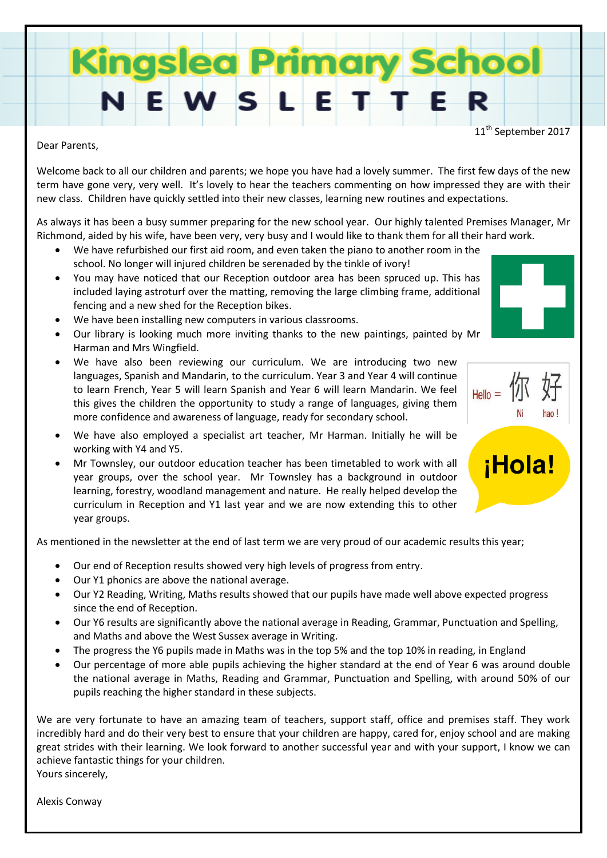# Kingslea Primary Sc

11<sup>th</sup> September 2017

Dear Parents,

Welcome back to all our children and parents; we hope you have had a lovely summer. The first few days of the new term have gone very, very well. It's lovely to hear the teachers commenting on how impressed they are with their new class. Children have quickly settled into their new classes, learning new routines and expectations.

As always it has been a busy summer preparing for the new school year. Our highly talented Premises Manager, Mr Richmond, aided by his wife, have been very, very busy and I would like to thank them for all their hard work.

- We have refurbished our first aid room, and even taken the piano to another room in the school. No longer will injured children be serenaded by the tinkle of ivory!
- You may have noticed that our Reception outdoor area has been spruced up. This has included laying astroturf over the matting, removing the large climbing frame, additional fencing and a new shed for the Reception bikes.
- We have been installing new computers in various classrooms.
- Our library is looking much more inviting thanks to the new paintings, painted by Mr Harman and Mrs Wingfield.
- We have also been reviewing our curriculum. We are introducing two new languages, Spanish and Mandarin, to the curriculum. Year 3 and Year 4 will continue to learn French, Year 5 will learn Spanish and Year 6 will learn Mandarin. We feel this gives the children the opportunity to study a range of languages, giving them more confidence and awareness of language, ready for secondary school.
- We have also employed a specialist art teacher, Mr Harman. Initially he will be working with Y4 and Y5.
- Mr Townsley, our outdoor education teacher has been timetabled to work with all year groups, over the school year. Mr Townsley has a background in outdoor learning, forestry, woodland management and nature. He really helped develop the curriculum in Reception and Y1 last year and we are now extending this to other year groups.

As mentioned in the newsletter at the end of last term we are very proud of our academic results this year;

- Our end of Reception results showed very high levels of progress from entry.
- Our Y1 phonics are above the national average.
- Our Y2 Reading, Writing, Maths results showed that our pupils have made well above expected progress since the end of Reception.
- Our Y6 results are significantly above the national average in Reading, Grammar, Punctuation and Spelling, and Maths and above the West Sussex average in Writing.
- The progress the Y6 pupils made in Maths was in the top 5% and the top 10% in reading, in England
- Our percentage of more able pupils achieving the higher standard at the end of Year 6 was around double the national average in Maths, Reading and Grammar, Punctuation and Spelling, with around 50% of our pupils reaching the higher standard in these subjects.

We are very fortunate to have an amazing team of teachers, support staff, office and premises staff. They work incredibly hard and do their very best to ensure that your children are happy, cared for, enjoy school and are making great strides with their learning. We look forward to another successful year and with your support, I know we can achieve fantastic things for your children. Yours sincerely,

Alexis Conway

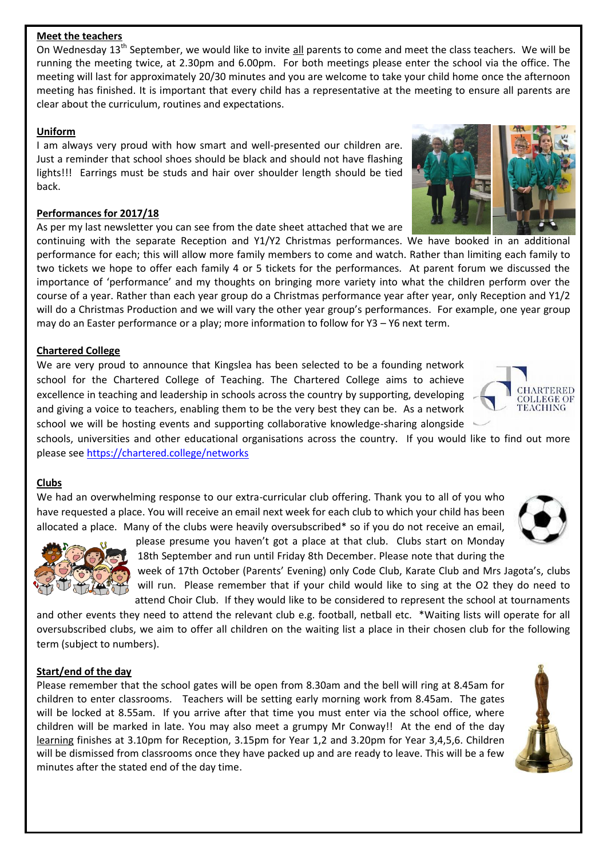#### **Meet the teachers**

On Wednesday 13<sup>th</sup> September, we would like to invite all parents to come and meet the class teachers. We will be running the meeting twice, at 2.30pm and 6.00pm. For both meetings please enter the school via the office. The meeting will last for approximately 20/30 minutes and you are welcome to take your child home once the afternoon meeting has finished. It is important that every child has a representative at the meeting to ensure all parents are clear about the curriculum, routines and expectations.

#### **Uniform**

I am always very proud with how smart and well-presented our children are. Just a reminder that school shoes should be black and should not have flashing lights!!! Earrings must be studs and hair over shoulder length should be tied back.

#### **Performances for 2017/18**

As per my last newsletter you can see from the date sheet attached that we are

continuing with the separate Reception and Y1/Y2 Christmas performances. We have booked in an additional performance for each; this will allow more family members to come and watch. Rather than limiting each family to two tickets we hope to offer each family 4 or 5 tickets for the performances. At parent forum we discussed the importance of 'performance' and my thoughts on bringing more variety into what the children perform over the course of a year. Rather than each year group do a Christmas performance year after year, only Reception and Y1/2 will do a Christmas Production and we will vary the other year group's performances. For example, one year group may do an Easter performance or a play; more information to follow for Y3 – Y6 next term.

#### **Chartered College**

We are very proud to announce that Kingslea has been selected to be a founding network school for the Chartered College of Teaching. The Chartered College aims to achieve excellence in teaching and leadership in schools across the country by supporting, developing and giving a voice to teachers, enabling them to be the very best they can be. As a network school we will be hosting events and supporting collaborative knowledge-sharing alongside

schools, universities and other educational organisations across the country. If you would like to find out more please see<https://chartered.college/networks>

#### **Clubs**

We had an overwhelming response to our extra-curricular club offering. Thank you to all of you who have requested a place. You will receive an email next week for each club to which your child has been allocated a place. Many of the clubs were heavily oversubscribed\* so if you do not receive an email,

please presume you haven't got a place at that club. Clubs start on Monday 18th September and run until Friday 8th December. Please note that during the week of 17th October (Parents' Evening) only Code Club, Karate Club and Mrs Jagota's, clubs

will run. Please remember that if your child would like to sing at the O2 they do need to attend Choir Club. If they would like to be considered to represent the school at tournaments

and other events they need to attend the relevant club e.g. football, netball etc. \*Waiting lists will operate for all oversubscribed clubs, we aim to offer all children on the waiting list a place in their chosen club for the following term (subject to numbers).

#### **Start/end of the day**

Please remember that the school gates will be open from 8.30am and the bell will ring at 8.45am for children to enter classrooms. Teachers will be setting early morning work from 8.45am. The gates will be locked at 8.55am. If you arrive after that time you must enter via the school office, where children will be marked in late. You may also meet a grumpy Mr Conway!! At the end of the day learning finishes at 3.10pm for Reception, 3.15pm for Year 1,2 and 3.20pm for Year 3,4,5,6. Children will be dismissed from classrooms once they have packed up and are ready to leave. This will be a few minutes after the stated end of the day time.











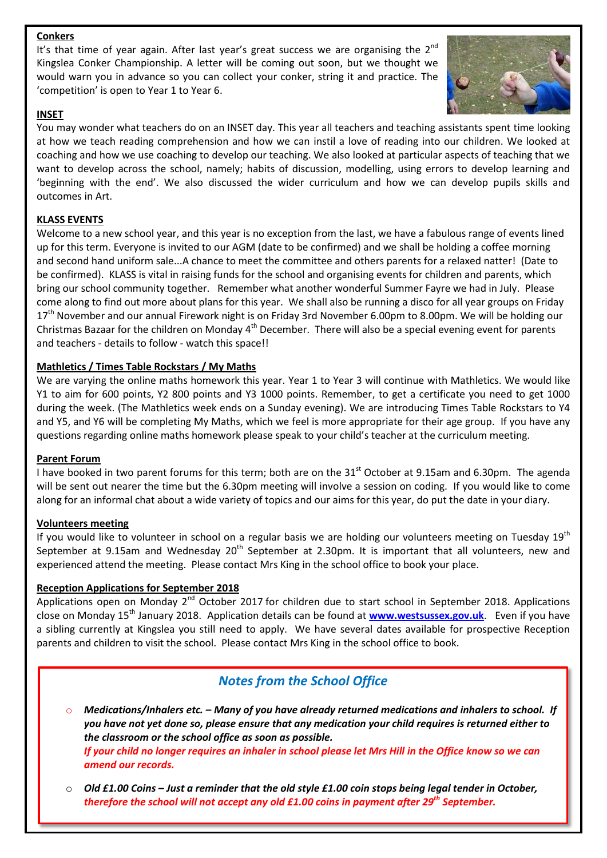#### **Conkers**

It's that time of year again. After last year's great success we are organising the  $2^{nd}$ Kingslea Conker Championship. A letter will be coming out soon, but we thought we would warn you in advance so you can collect your conker, string it and practice. The 'competition' is open to Year 1 to Year 6.



#### **INSET**

You may wonder what teachers do on an INSET day. This year all teachers and teaching assistants spent time looking at how we teach reading comprehension and how we can instil a love of reading into our children. We looked at coaching and how we use coaching to develop our teaching. We also looked at particular aspects of teaching that we want to develop across the school, namely; habits of discussion, modelling, using errors to develop learning and 'beginning with the end'. We also discussed the wider curriculum and how we can develop pupils skills and outcomes in Art.

#### **KLASS EVENTS**

Welcome to a new school year, and this year is no exception from the last, we have a fabulous range of events lined up for this term. Everyone is invited to our AGM (date to be confirmed) and we shall be holding a coffee morning and second hand uniform sale...A chance to meet the committee and others parents for a relaxed natter! (Date to be confirmed). KLASS is vital in raising funds for the school and organising events for children and parents, which bring our school community together. Remember what another wonderful Summer Fayre we had in July. Please come along to find out more about plans for this year. We shall also be running a disco for all year groups on Friday 17<sup>th</sup> November and our annual Firework night is [on Friday](x-apple-data-detectors://2/) 3rd [November 6.00pm to 8.00pm.](x-apple-data-detectors://2/) We will be holding our Christmas Bazaar for the children on Monday  $4<sup>th</sup>$  December. There will also be a special evening event for parents and teachers - details to follow - watch this space!!

#### **Mathletics / Times Table Rockstars / My Maths**

We are varying the online maths homework this year. Year 1 to Year 3 will continue with Mathletics. We would like Y1 to aim for 600 points, Y2 800 points and Y3 1000 points. Remember, to get a certificate you need to get 1000 during the week. (The Mathletics week ends on a Sunday evening). We are introducing Times Table Rockstars to Y4 and Y5, and Y6 will be completing My Maths, which we feel is more appropriate for their age group. If you have any questions regarding online maths homework please speak to your child's teacher at the curriculum meeting.

#### **Parent Forum**

I have booked in two parent forums for this term; both are on the  $31<sup>st</sup>$  October at 9.15am and 6.30pm. The agenda will be sent out nearer the time but the 6.30pm meeting will involve a session on coding. If you would like to come along for an informal chat about a wide variety of topics and our aims for this year, do put the date in your diary.

#### **Volunteers meeting**

If you would like to volunteer in school on a regular basis we are holding our volunteers meeting on Tuesday  $19<sup>th</sup>$ September at 9.15am and Wednesday  $20<sup>th</sup>$  September at 2.30pm. It is important that all volunteers, new and experienced attend the meeting. Please contact Mrs King in the school office to book your place.

#### **Reception Applications for September 2018**

Applications open on Monday 2<sup>nd</sup> October 2017 for children due to start school in September 2018. Applications close on Monday 15th January 2018. Application details can be found at **[www.westsussex.gov.uk](http://www.westsussex.gov.uk/)**. Even if you have a sibling currently at Kingslea you still need to apply. We have several dates available for prospective Reception parents and children to visit the school. Please contact Mrs King in the school office to book.

### *Notes from the School Office*

o *Medications/Inhalers etc. – Many of you have already returned medications and inhalers to school. If you have not yet done so, please ensure that any medication your child requires is returned either to the classroom or the school office as soon as possible. If your child no longer requires an inhaler in school please let Mrs Hill in the Office know so we can amend our records.*

o *Old £1.00 Coins – Just a reminder that the old style £1.00 coin stops being legal tender in October, therefore the school will not accept any old £1.00 coins in payment after 29<sup>th</sup> September.*